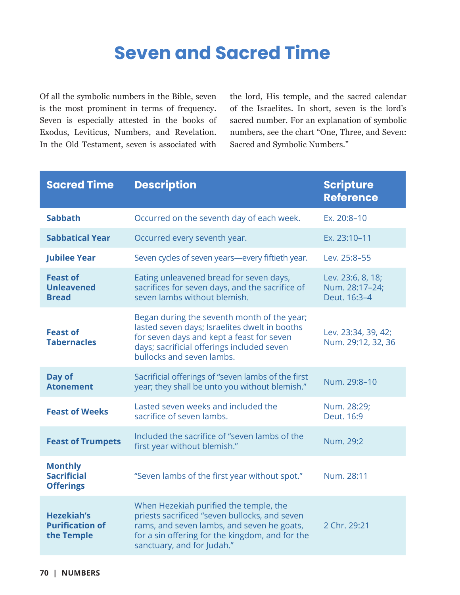## **Seven and Sacred Time**

Of all the symbolic numbers in the Bible, seven is the most prominent in terms of frequency. Seven is especially attested in the books of Exodus, Leviticus, Numbers, and Revelation. In the Old Testament, seven is associated with

the lord, His temple, and the sacred calendar of the Israelites. In short, seven is the lord's sacred number. For an explanation of symbolic numbers, see the chart "One, Three, and Seven: Sacred and Symbolic Numbers."

| <b>Sacred Time</b>                                        | <b>Description</b>                                                                                                                                                                                                     | <b>Scripture</b><br><b>Reference</b>                |
|-----------------------------------------------------------|------------------------------------------------------------------------------------------------------------------------------------------------------------------------------------------------------------------------|-----------------------------------------------------|
| <b>Sabbath</b>                                            | Occurred on the seventh day of each week.                                                                                                                                                                              | Ex. 20:8-10                                         |
| <b>Sabbatical Year</b>                                    | Occurred every seventh year.                                                                                                                                                                                           | Ex. 23:10-11                                        |
| <b>Jubilee Year</b>                                       | Seven cycles of seven years-every fiftieth year.                                                                                                                                                                       | Lev. 25:8-55                                        |
| <b>Feast of</b><br><b>Unleavened</b><br><b>Bread</b>      | Eating unleavened bread for seven days,<br>sacrifices for seven days, and the sacrifice of<br>seven lambs without blemish.                                                                                             | Lev. 23:6, 8, 18;<br>Num. 28:17-24;<br>Deut. 16:3-4 |
| <b>Feast of</b><br><b>Tabernacles</b>                     | Began during the seventh month of the year;<br>lasted seven days; Israelites dwelt in booths<br>for seven days and kept a feast for seven<br>days; sacrificial offerings included seven<br>bullocks and seven lambs.   | Lev. 23:34, 39, 42;<br>Num. 29:12, 32, 36           |
| Day of<br><b>Atonement</b>                                | Sacrificial offerings of "seven lambs of the first<br>year; they shall be unto you without blemish."                                                                                                                   | Num. 29:8-10                                        |
| <b>Feast of Weeks</b>                                     | Lasted seven weeks and included the<br>sacrifice of seven lambs.                                                                                                                                                       | Num. 28:29;<br>Deut. 16:9                           |
| <b>Feast of Trumpets</b>                                  | Included the sacrifice of "seven lambs of the<br>first year without blemish."                                                                                                                                          | Num. 29:2                                           |
| <b>Monthly</b><br><b>Sacrificial</b><br><b>Offerings</b>  | "Seven lambs of the first year without spot."                                                                                                                                                                          | Num. 28:11                                          |
| <b>Hezekiah's</b><br><b>Purification of</b><br>the Temple | When Hezekiah purified the temple, the<br>priests sacrificed "seven bullocks, and seven<br>rams, and seven lambs, and seven he goats,<br>for a sin offering for the kingdom, and for the<br>sanctuary, and for Judah." | 2 Chr. 29:21                                        |